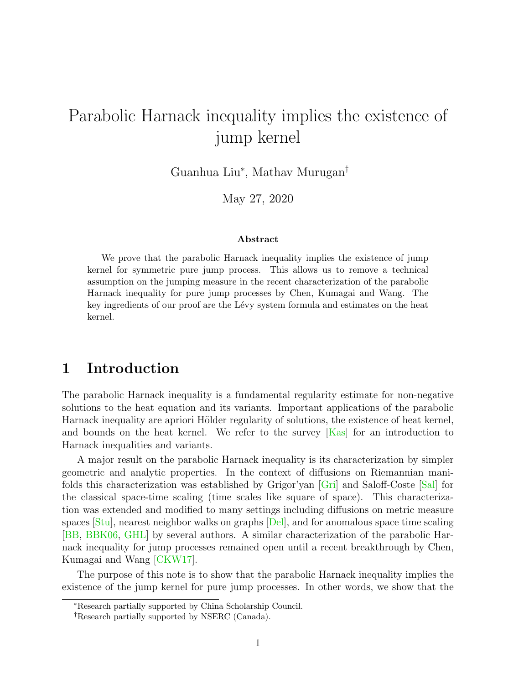# <span id="page-0-0"></span>Parabolic Harnack inequality implies the existence of jump kernel

Guanhua Liu<sup>∗</sup> , Mathav Murugan†

May 27, 2020

#### Abstract

We prove that the parabolic Harnack inequality implies the existence of jump kernel for symmetric pure jump process. This allows us to remove a technical assumption on the jumping measure in the recent characterization of the parabolic Harnack inequality for pure jump processes by Chen, Kumagai and Wang. The key ingredients of our proof are the Lévy system formula and estimates on the heat kernel.

# 1 Introduction

The parabolic Harnack inequality is a fundamental regularity estimate for non-negative solutions to the heat equation and its variants. Important applications of the parabolic Harnack inequality are apriori Hölder regularity of solutions, the existence of heat kernel, and bounds on the heat kernel. We refer to the survey [\[Kas\]](#page-10-0) for an introduction to Harnack inequalities and variants.

A major result on the parabolic Harnack inequality is its characterization by simpler geometric and analytic properties. In the context of diffusions on Riemannian manifolds this characterization was established by Grigor'yan [\[Gri\]](#page-10-1) and Saloff-Coste [\[Sal\]](#page-10-2) for the classical space-time scaling (time scales like square of space). This characterization was extended and modified to many settings including diffusions on metric measure spaces [\[Stu\]](#page-11-0), nearest neighbor walks on graphs [\[Del\]](#page-10-3), and for anomalous space time scaling [\[BB,](#page-9-0) [BBK06,](#page-10-4) [GHL\]](#page-10-5) by several authors. A similar characterization of the parabolic Harnack inequality for jump processes remained open until a recent breakthrough by Chen, Kumagai and Wang [\[CKW17\]](#page-10-6).

The purpose of this note is to show that the parabolic Harnack inequality implies the existence of the jump kernel for pure jump processes. In other words, we show that the

<sup>∗</sup>Research partially supported by China Scholarship Council.

<sup>†</sup>Research partially supported by NSERC (Canada).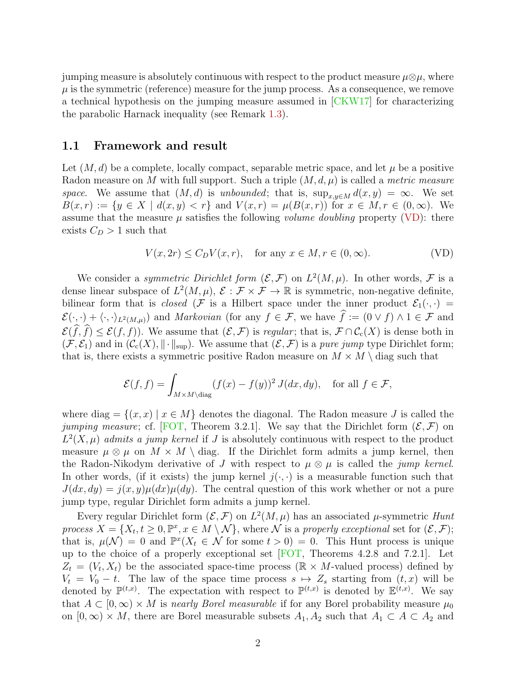jumping measure is absolutely continuous with respect to the product measure  $\mu\otimes\mu$ , where  $\mu$  is the symmetric (reference) measure for the jump process. As a consequence, we remove a technical hypothesis on the jumping measure assumed in [\[CKW17\]](#page-10-6) for characterizing the parabolic Harnack inequality (see Remark [1.3\)](#page-0-0).

#### 1.1 Framework and result

Let  $(M, d)$  be a complete, locally compact, separable metric space, and let  $\mu$  be a positive Radon measure on M with full support. Such a triple  $(M, d, \mu)$  is called a metric measure space. We assume that  $(M, d)$  is unbounded; that is,  $\sup_{x,y\in M} d(x,y) = \infty$ . We set  $B(x,r) := \{y \in X \mid d(x,y) < r\}$  and  $V(x,r) = \mu(B(x,r))$  for  $x \in M, r \in (0,\infty)$ . We assume that the measure  $\mu$  satisfies the following *volume doubling* property [\(VD\)](#page-1-0): there exists  $C_D > 1$  such that

<span id="page-1-1"></span><span id="page-1-0"></span>
$$
V(x, 2r) \le C_D V(x, r), \quad \text{for any } x \in M, r \in (0, \infty). \tag{VD}
$$

We consider a *symmetric Dirichlet form*  $(\mathcal{E}, \mathcal{F})$  on  $L^2(M, \mu)$ . In other words,  $\mathcal F$  is a dense linear subspace of  $L^2(M,\mu)$ ,  $\mathcal{E}: \mathcal{F} \times \mathcal{F} \to \mathbb{R}$  is symmetric, non-negative definite, bilinear form that is *closed* (F is a Hilbert space under the inner product  $\mathcal{E}_1(\cdot, \cdot)$  =  $\mathcal{E}(\cdot, \cdot) + \langle \cdot, \cdot \rangle_{L^2(M,\mu)}$  and *Markovian* (for any  $f \in \mathcal{F}$ , we have  $\hat{f} := (0 \vee f) \wedge 1 \in \mathcal{F}$  and  $\mathcal{E}(\widehat{f},\widehat{f}) \leq \mathcal{E}(f,f)$ ). We assume that  $(\mathcal{E},\mathcal{F})$  is regular; that is,  $\mathcal{F} \cap \mathcal{C}_{c}(X)$  is dense both in  $(\mathcal{F}, \mathcal{E}_1)$  and in  $(\mathcal{C}_c(X), \|\cdot\|_{\text{sup}})$ . We assume that  $(\mathcal{E}, \mathcal{F})$  is a *pure jump* type Dirichlet form; that is, there exists a symmetric positive Radon measure on  $M \times M \setminus$  diag such that

$$
\mathcal{E}(f,f) = \int_{M \times M \setminus \text{diag}} (f(x) - f(y))^2 J(dx, dy), \text{ for all } f \in \mathcal{F},
$$

where diag =  $\{(x, x) | x \in M\}$  denotes the diagonal. The Radon measure J is called the jumping measure; cf. [\[FOT,](#page-10-7) Theorem 3.2.1]. We say that the Dirichlet form  $(\mathcal{E}, \mathcal{F})$  on  $L^2(X,\mu)$  admits a jump kernel if J is absolutely continuous with respect to the product measure  $\mu \otimes \mu$  on  $M \times M \setminus$  diag. If the Dirichlet form admits a jump kernel, then the Radon-Nikodym derivative of J with respect to  $\mu \otimes \mu$  is called the *jump kernel*. In other words, (if it exists) the jump kernel  $j(\cdot, \cdot)$  is a measurable function such that  $J(dx, dy) = j(x, y)\mu(dx)\mu(dy)$ . The central question of this work whether or not a pure jump type, regular Dirichlet form admits a jump kernel.

Every regular Dirichlet form  $(\mathcal{E}, \mathcal{F})$  on  $L^2(M, \mu)$  has an associated  $\mu$ -symmetric Hunt process  $X = \{X_t, t \geq 0, \mathbb{P}^x, x \in M \setminus \mathcal{N}\}\$ , where  $\mathcal N$  is a properly exceptional set for  $(\mathcal{E}, \mathcal{F})$ ; that is,  $\mu(\mathcal{N}) = 0$  and  $\mathbb{P}^x(X_t \in \mathcal{N}$  for some  $t > 0$  = 0. This Hunt process is unique up to the choice of a properly exceptional set [\[FOT,](#page-10-7) Theorems 4.2.8 and 7.2.1]. Let  $Z_t = (V_t, X_t)$  be the associated space-time process ( $\mathbb{R} \times M$ -valued process) defined by  $V_t = V_0 - t$ . The law of the space time process  $s \mapsto Z_s$  starting from  $(t, x)$  will be denoted by  $\mathbb{P}^{(t,x)}$ . The expectation with respect to  $\mathbb{P}^{(t,x)}$  is denoted by  $\mathbb{E}^{(t,x)}$ . We say that  $A \subset [0,\infty) \times M$  is *nearly Borel measurable* if for any Borel probability measure  $\mu_0$ on  $[0,\infty) \times M$ , there are Borel measurable subsets  $A_1, A_2$  such that  $A_1 \subset A \subset A_2$  and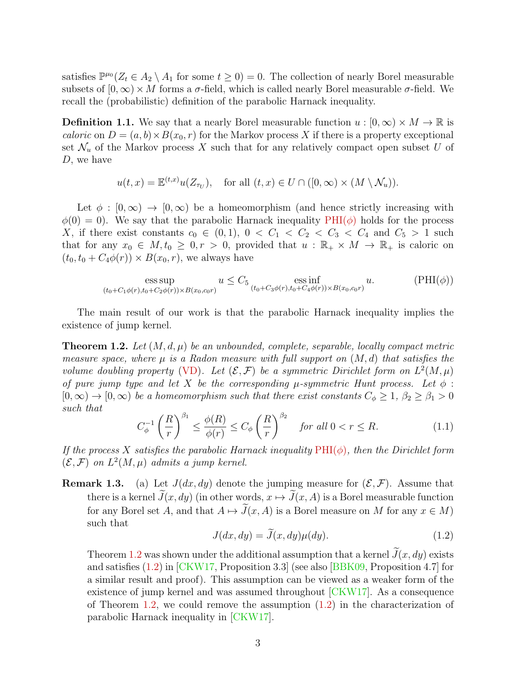satisfies  $\mathbb{P}^{\mu_0}(Z_t \in A_2 \setminus A_1$  for some  $t \geq 0) = 0$ . The collection of nearly Borel measurable subsets of  $[0,\infty)\times M$  forms a  $\sigma$ -field, which is called nearly Borel measurable  $\sigma$ -field. We recall the (probabilistic) definition of the parabolic Harnack inequality.

**Definition 1.1.** We say that a nearly Borel measurable function  $u : [0, \infty) \times M \to \mathbb{R}$  is caloric on  $D = (a, b) \times B(x_0, r)$  for the Markov process X if there is a property exceptional set  $\mathcal{N}_u$  of the Markov process X such that for any relatively compact open subset U of D, we have

$$
u(t, x) = \mathbb{E}^{(t,x)} u(Z_{\tau_U}),
$$
 for all  $(t, x) \in U \cap ([0, \infty) \times (M \setminus \mathcal{N}_u)).$ 

Let  $\phi : [0, \infty) \to [0, \infty)$  be a homeomorphism (and hence strictly increasing with  $\phi(0) = 0$ . We say that the parabolic Harnack inequality [PHI\(](#page-2-0) $\phi$ ) holds for the process X, if there exist constants  $c_0 \in (0,1)$ ,  $0 < C_1 < C_2 < C_3 < C_4$  and  $C_5 > 1$  such that for any  $x_0 \in M$ ,  $t_0 \geq 0$ ,  $r > 0$ , provided that  $u : \mathbb{R}_+ \times M \to \mathbb{R}_+$  is caloric on  $(t_0, t_0 + C_4\phi(r)) \times B(x_0, r)$ , we always have

<span id="page-2-0"></span>ess sup 
$$
u \leq C_5
$$
 ess inf  $u$ . (PHI( $\phi$ ))  
 $(t_0 + C_1 \phi(r), t_0 + C_2 \phi(r)) \times B(x_0, c_0 r)$ 

The main result of our work is that the parabolic Harnack inequality implies the existence of jump kernel.

<span id="page-2-1"></span>**Theorem 1.2.** Let  $(M, d, \mu)$  be an unbounded, complete, separable, locally compact metric measure space, where  $\mu$  is a Radon measure with full support on  $(M, d)$  that satisfies the volume doubling property [\(VD\)](#page-1-0). Let  $(\mathcal{E}, \mathcal{F})$  be a symmetric Dirichlet form on  $L^2(M, \mu)$ of pure jump type and let X be the corresponding  $\mu$ -symmetric Hunt process. Let  $\phi$ :  $[0,\infty) \to [0,\infty)$  be a homeomorphism such that there exist constants  $C_{\phi} \geq 1$ ,  $\beta_2 \geq \beta_1 > 0$ such that

$$
C_{\phi}^{-1}\left(\frac{R}{r}\right)^{\beta_1} \le \frac{\phi(R)}{\phi(r)} \le C_{\phi}\left(\frac{R}{r}\right)^{\beta_2} \quad \text{for all } 0 < r \le R. \tag{1.1}
$$

If the process X satisfies the parabolic Harnack inequality  $PHI(\phi)$  $PHI(\phi)$ , then the Dirichlet form  $(\mathcal{E}, \mathcal{F})$  on  $L^2(M, \mu)$  admits a jump kernel.

**Remark 1.3.** (a) Let  $J(dx, dy)$  denote the jumping measure for  $(\mathcal{E}, \mathcal{F})$ . Assume that there is a kernel  $\tilde{J}(x, dy)$  (in other words,  $x \mapsto \tilde{J}(x, A)$  is a Borel measurable function for any Borel set A, and that  $A \mapsto \tilde{J}(x, A)$  is a Borel measure on M for any  $x \in M$ ) such that

<span id="page-2-2"></span>
$$
J(dx, dy) = \tilde{J}(x, dy)\mu(dy). \tag{1.2}
$$

Theorem [1.2](#page-2-1) was shown under the additional assumption that a kernel  $\tilde{J}(x, dy)$  exists and satisfies [\(1.2\)](#page-2-2) in [\[CKW17,](#page-10-6) Proposition 3.3] (see also [\[BBK09,](#page-10-8) Proposition 4.7] for a similar result and proof). This assumption can be viewed as a weaker form of the existence of jump kernel and was assumed throughout [\[CKW17\]](#page-10-6). As a consequence of Theorem [1.2,](#page-2-1) we could remove the assumption  $(1.2)$  in the characterization of parabolic Harnack inequality in [\[CKW17\]](#page-10-6).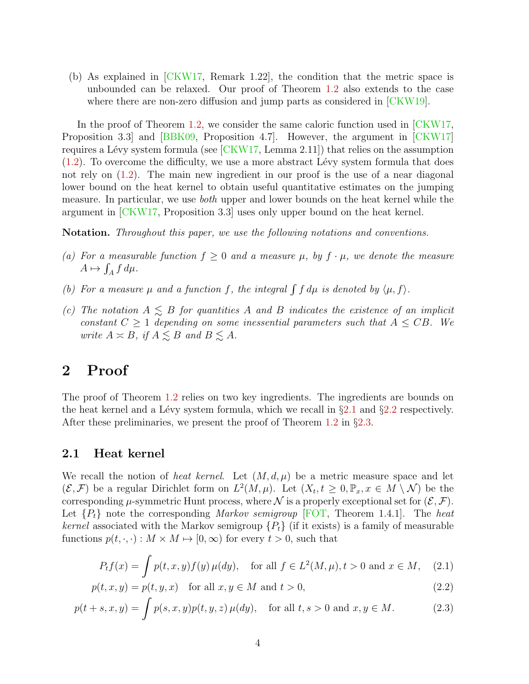(b) As explained in [\[CKW17,](#page-10-6) Remark 1.22], the condition that the metric space is unbounded can be relaxed. Our proof of Theorem [1.2](#page-2-1) also extends to the case where there are non-zero diffusion and jump parts as considered in [\[CKW19\]](#page-10-9).

In the proof of Theorem [1.2,](#page-2-1) we consider the same caloric function used in [\[CKW17,](#page-10-6) Proposition 3.3] and [\[BBK09,](#page-10-8) Proposition 4.7]. However, the argument in [\[CKW17\]](#page-10-6) requires a Lévy system formula (see  $\lfloor$ CKW17, Lemma 2.11) that relies on the assumption  $(1.2)$ . To overcome the difficulty, we use a more abstract Lévy system formula that does not rely on [\(1.2\)](#page-2-2). The main new ingredient in our proof is the use of a near diagonal lower bound on the heat kernel to obtain useful quantitative estimates on the jumping measure. In particular, we use both upper and lower bounds on the heat kernel while the argument in [\[CKW17,](#page-10-6) Proposition 3.3] uses only upper bound on the heat kernel.

Notation. Throughout this paper, we use the following notations and conventions.

- (a) For a measurable function  $f \geq 0$  and a measure  $\mu$ , by  $f \cdot \mu$ , we denote the measure  $A \mapsto \int_A f d\mu.$
- (b) For a measure  $\mu$  and a function f, the integral  $\int f d\mu$  is denoted by  $\langle \mu, f \rangle$ .
- (c) The notation  $A \leq B$  for quantities A and B indicates the existence of an implicit constant  $C \geq 1$  depending on some inessential parameters such that  $A \leq CB$ . We write  $A \simeq B$ , if  $A \lesssim B$  and  $B \lesssim A$ .

## 2 Proof

The proof of Theorem [1.2](#page-2-1) relies on two key ingredients. The ingredients are bounds on the heat kernel and a Lévy system formula, which we recall in  $\S 2.1$  $\S 2.1$  and  $\S 2.2$  $\S 2.2$  respectively. After these preliminaries, we present the proof of Theorem [1.2](#page-2-1) in  $\S 2.3$ .

#### <span id="page-3-0"></span>2.1 Heat kernel

We recall the notion of heat kernel. Let  $(M, d, \mu)$  be a metric measure space and let  $(\mathcal{E}, \mathcal{F})$  be a regular Dirichlet form on  $L^2(M, \mu)$ . Let  $(X_t, t \geq 0, \mathbb{P}_x, x \in M \setminus \mathcal{N})$  be the corresponding  $\mu$ -symmetric Hunt process, where  $\mathcal N$  is a properly exceptional set for  $(\mathcal E, \mathcal F)$ . Let  $\{P_t\}$  note the corresponding *Markov semigroup* [\[FOT,](#page-10-7) Theorem 1.4.1]. The heat kernel associated with the Markov semigroup  ${P_t}$  (if it exists) is a family of measurable functions  $p(t, \cdot, \cdot): M \times M \mapsto [0, \infty)$  for every  $t > 0$ , such that

<span id="page-3-2"></span><span id="page-3-1"></span>
$$
P_t f(x) = \int p(t, x, y) f(y) \,\mu(dy), \quad \text{for all } f \in L^2(M, \mu), t > 0 \text{ and } x \in M, \quad (2.1)
$$

$$
p(t, x, y) = p(t, y, x) \quad \text{for all } x, y \in M \text{ and } t > 0,
$$
\n
$$
(2.2)
$$

$$
p(t+s,x,y) = \int p(s,x,y)p(t,y,z)\,\mu(dy), \text{ for all } t,s > 0 \text{ and } x,y \in M. \tag{2.3}
$$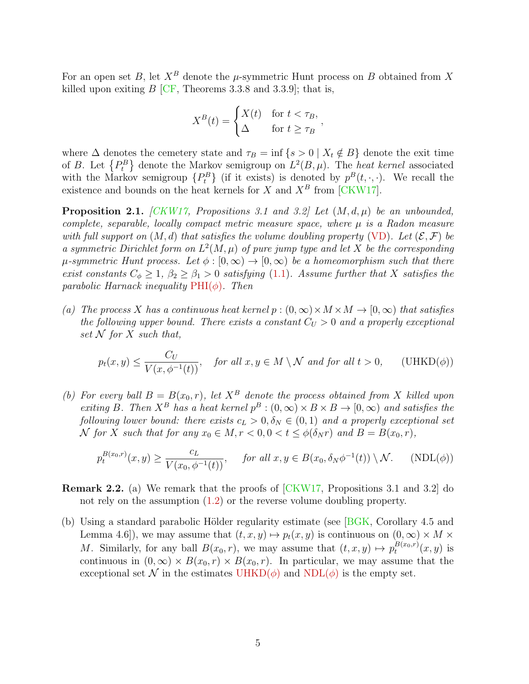For an open set B, let  $X^B$  denote the  $\mu$ -symmetric Hunt process on B obtained from X killed upon exiting  $B$  [\[CF,](#page-10-10) Theorems 3.3.8 and 3.3.9]; that is,

$$
X^{B}(t) = \begin{cases} X(t) & \text{for } t < \tau_B, \\ \Delta & \text{for } t \geq \tau_B \end{cases}
$$

where  $\Delta$  denotes the cemetery state and  $\tau_B = \inf \{ s > 0 \mid X_t \notin B \}$  denote the exit time of B. Let  ${P_t^B}$  denote the Markov semigroup on  $L^2(B,\mu)$ . The *heat kernel* associated with the Markov semigroup  ${P_t^B}$  (if it exists) is denoted by  $p^B(t, \cdot, \cdot)$ . We recall the existence and bounds on the heat kernels for  $X$  and  $X^B$  from [\[CKW17\]](#page-10-6).

<span id="page-4-2"></span>**Proposition 2.1.** [\[CKW17,](#page-10-6) Propositions 3.1 and 3.2] Let  $(M, d, \mu)$  be an unbounded, complete, separable, locally compact metric measure space, where  $\mu$  is a Radon measure with full support on  $(M, d)$  that satisfies the volume doubling property [\(VD\)](#page-1-0). Let  $(\mathcal{E}, \mathcal{F})$  be a symmetric Dirichlet form on  $L^2(M,\mu)$  of pure jump type and let X be the corresponding  $\mu$ -symmetric Hunt process. Let  $\phi : [0, \infty) \to [0, \infty)$  be a homeomorphism such that there exist constants  $C_{\phi} \geq 1$ ,  $\beta_2 \geq \beta_1 > 0$  satisfying [\(1.1\)](#page-1-1). Assume further that X satisfies the parabolic Harnack inequality  $PHI(\phi)$  $PHI(\phi)$ . Then

(a) The process X has a continuous heat kernel  $p:(0,\infty)\times M\times M\to [0,\infty)$  that satisfies the following upper bound. There exists a constant  $C_U > 0$  and a properly exceptional set  $\mathcal N$  for  $X$  such that,

<span id="page-4-0"></span>
$$
p_t(x, y) \le \frac{C_U}{V(x, \phi^{-1}(t))}
$$
, for all  $x, y \in M \setminus \mathcal{N}$  and for all  $t > 0$ , (UHKD( $\phi$ ))

(b) For every ball  $B = B(x_0, r)$ , let  $X^B$  denote the process obtained from X killed upon exiting B. Then  $X^B$  has a heat kernel  $p^B : (0, \infty) \times B \times B \to [0, \infty)$  and satisfies the following lower bound: there exists  $c_L > 0$ ,  $\delta_N \in (0,1)$  and a properly exceptional set N for X such that for any  $x_0 \in M$ ,  $r < 0$ ,  $0 < t \leq \phi(\delta_N r)$  and  $B = B(x_0, r)$ ,

<span id="page-4-1"></span>
$$
p_t^{B(x_0,r)}(x,y) \ge \frac{c_L}{V(x_0,\phi^{-1}(t))}, \quad \text{for all } x, y \in B(x_0,\delta_N\phi^{-1}(t)) \setminus \mathcal{N}. \quad (\text{NDL}(\phi))
$$

- Remark 2.2. (a) We remark that the proofs of [\[CKW17,](#page-10-6) Propositions 3.1 and 3.2] do not rely on the assumption [\(1.2\)](#page-2-2) or the reverse volume doubling property.
- (b) Using a standard parabolic Hölder regularity estimate (see [\[BGK,](#page-10-11) Corollary 4.5 and Lemma 4.6]), we may assume that  $(t, x, y) \mapsto p_t(x, y)$  is continuous on  $(0, \infty) \times M \times$ M. Similarly, for any ball  $B(x_0, r)$ , we may assume that  $(t, x, y) \mapsto p_t^{B(x_0, r)}$  $_t^{B(x_0,r)}(x,y)$  is continuous in  $(0, \infty) \times B(x_0, r) \times B(x_0, r)$ . In particular, we may assume that the exceptional set N in the estimates [UHKD\(](#page-4-0) $\phi$ ) and [NDL\(](#page-4-1) $\phi$ ) is the empty set.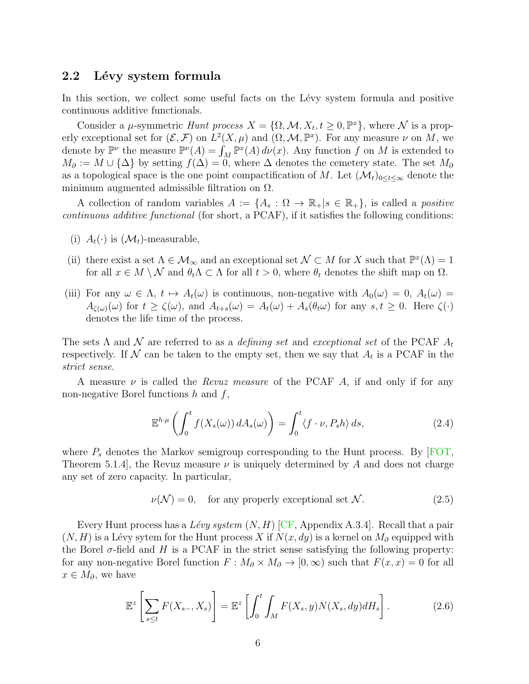### <span id="page-5-0"></span>2.2 Lévy system formula

In this section, we collect some useful facts on the Lévy system formula and positive continuous additive functionals.

Consider a  $\mu$ -symmetric *Hunt process*  $X = \{\Omega, \mathcal{M}, X_t, t \geq 0, \mathbb{P}^x\}$ , where  $\mathcal N$  is a properly exceptional set for  $(\mathcal{E}, \mathcal{F})$  on  $L^2(X, \mu)$  and  $(\Omega, \mathcal{M}, \mathbb{P}^x)$ . For any measure  $\nu$  on M, we denote by  $\mathbb{P}^{\nu}$  the measure  $\mathbb{P}^{\nu}(A) = \int_M \mathbb{P}^x(A) d\nu(x)$ . Any function f on M is extended to  $M_{\partial} := M \cup {\{\Delta\}}$  by setting  $f(\Delta) = 0$ , where  $\Delta$  denotes the cemetery state. The set  $M_{\partial}$ as a topological space is the one point compactification of M. Let  $(\mathcal{M}_t)_{0\leq t\leq\infty}$  denote the minimum augmented admissible filtration on  $\Omega$ .

A collection of random variables  $A := \{A_s : \Omega \to \mathbb{R}_+ | s \in \mathbb{R}_+\}$ , is called a *positive* continuous additive functional (for short, a PCAF), if it satisfies the following conditions:

- (i)  $A_t(\cdot)$  is  $(\mathcal{M}_t)$ -measurable,
- (ii) there exist a set  $\Lambda \in \mathcal{M}_{\infty}$  and an exceptional set  $\mathcal{N} \subset M$  for X such that  $\mathbb{P}^x(\Lambda) = 1$ for all  $x \in M \setminus \mathcal{N}$  and  $\theta_t \Lambda \subset \Lambda$  for all  $t > 0$ , where  $\theta_t$  denotes the shift map on  $\Omega$ .
- (iii) For any  $\omega \in \Lambda$ ,  $t \mapsto A_t(\omega)$  is continuous, non-negative with  $A_0(\omega) = 0$ ,  $A_t(\omega) = 0$  $A_{\zeta(\omega)}(\omega)$  for  $t \geq \zeta(\omega)$ , and  $A_{t+s}(\omega) = A_t(\omega) + A_s(\theta_t \omega)$  for any  $s, t \geq 0$ . Here  $\zeta(\cdot)$ denotes the life time of the process.

The sets  $\Lambda$  and  $\mathcal N$  are referred to as a *defining set* and exceptional set of the PCAF  $A_t$ respectively. If N can be taken to the empty set, then we say that  $A_t$  is a PCAF in the strict sense.

A measure  $\nu$  is called the *Revuz measure* of the PCAF A, if and only if for any non-negative Borel functions  $h$  and  $f$ ,

$$
\mathbb{E}^{h \cdot \mu} \left( \int_0^t f(X_s(\omega)) \, dA_s(\omega) \right) = \int_0^t \langle f \cdot \nu, P_s h \rangle \, ds,\tag{2.4}
$$

where  $P<sub>s</sub>$  denotes the Markov semigroup corresponding to the Hunt process. By [\[FOT,](#page-10-7) Theorem 5.1.4, the Revuz measure  $\nu$  is uniquely determined by A and does not charge any set of zero capacity. In particular,

$$
\nu(\mathcal{N}) = 0, \quad \text{for any properly exceptional set } \mathcal{N}.
$$
 (2.5)

Every Hunt process has a Lévy system  $(N, H)$  [\[CF,](#page-10-10) Appendix A.3.4]. Recall that a pair  $(N, H)$  is a Lévy sytem for the Hunt process X if  $N(x, dy)$  is a kernel on  $M_{\partial}$  equipped with the Borel  $\sigma$ -field and H is a PCAF in the strict sense satisfying the following property: for any non-negative Borel function  $F : M_{\partial} \times M_{\partial} \to [0, \infty)$  such that  $F(x, x) = 0$  for all  $x \in M_{\partial}$ , we have

<span id="page-5-1"></span>
$$
\mathbb{E}^{z}\left[\sum_{s\leq t} F(X_{s-}, X_{s})\right] = \mathbb{E}^{z}\left[\int_{0}^{t} \int_{M} F(X_{s}, y) N(X_{s}, dy) dH_{s}\right].
$$
\n(2.6)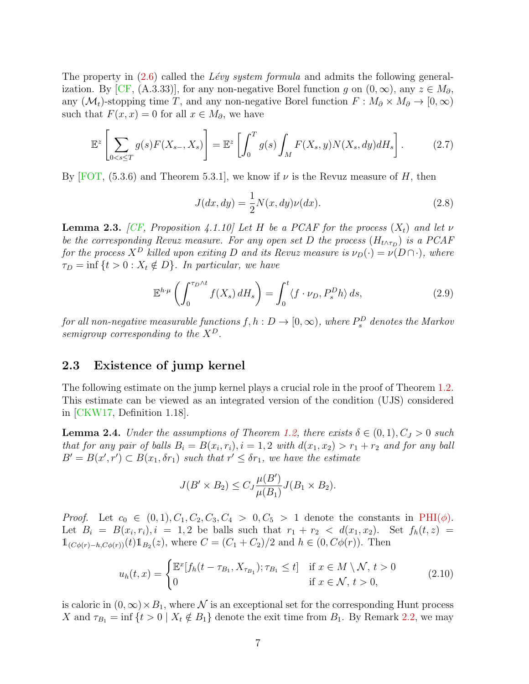The property in  $(2.6)$  called the *Lévy system formula* and admits the following general-ization. By [\[CF,](#page-10-10) (A.3.33)], for any non-negative Borel function g on  $(0, \infty)$ , any  $z \in M_{\partial}$ , any  $(\mathcal{M}_t)$ -stopping time T, and any non-negative Borel function  $F : M_{\partial} \times M_{\partial} \to [0, \infty)$ such that  $F(x, x) = 0$  for all  $x \in M_{\partial}$ , we have

<span id="page-6-1"></span>
$$
\mathbb{E}^{z}\left[\sum_{0 (2.7)
$$

By [\[FOT,](#page-10-7) (5.3.6) and Theorem 5.3.1], we know if  $\nu$  is the Revuz measure of H, then

<span id="page-6-3"></span>
$$
J(dx, dy) = \frac{1}{2}N(x, dy)\nu(dx). \qquad (2.8)
$$

**Lemma 2.3.** [\[CF,](#page-10-10) Proposition 4.1.10] Let H be a PCAF for the process  $(X_t)$  and let v be the corresponding Revuz measure. For any open set D the process  $(H_{t \wedge \tau_D})$  is a PCAF for the process  $X^D$  killed upon exiting D and its Revuz measure is  $\nu_D(\cdot) = \nu(D \cap \cdot)$ , where  $\tau_D = \inf \{ t > 0 : X_t \notin D \}.$  In particular, we have

<span id="page-6-2"></span>
$$
\mathbb{E}^{h \cdot \mu} \left( \int_0^{\tau_D \wedge t} f(X_s) \, dH_s \right) = \int_0^t \langle f \cdot \nu_D, P_s^D h \rangle \, ds,\tag{2.9}
$$

for all non-negative measurable functions  $f,h:D\to [0,\infty),$  where  $P^D_s$  denotes the Markov semigroup corresponding to the  $X^D$ .

### <span id="page-6-0"></span>2.3 Existence of jump kernel

The following estimate on the jump kernel plays a crucial role in the proof of Theorem [1.2.](#page-2-1) This estimate can be viewed as an integrated version of the condition (UJS) considered in [\[CKW17,](#page-10-6) Definition 1.18].

<span id="page-6-4"></span>**Lemma 2.4.** Under the assumptions of Theorem [1.2,](#page-2-1) there exists  $\delta \in (0,1), C_J > 0$  such that for any pair of balls  $B_i = B(x_i, r_i)$ ,  $i = 1, 2$  with  $d(x_1, x_2) > r_1 + r_2$  and for any ball  $B' = B(x', r') \subset B(x_1, \delta r_1)$  such that  $r' \leq \delta r_1$ , we have the estimate

$$
J(B' \times B_2) \le C_J \frac{\mu(B')}{\mu(B_1)} J(B_1 \times B_2).
$$

*Proof.* Let  $c_0 \in (0, 1), C_1, C_2, C_3, C_4 > 0, C_5 > 1$  denote the constants in [PHI\(](#page-2-0) $\phi$ ). Let  $B_i = B(x_i, r_i), i = 1, 2$  be balls such that  $r_1 + r_2 < d(x_1, x_2)$ . Set  $f_h(t, z) =$  $1_{(C\phi(r)-h,C\phi(r))}(t)1_{B_2}(z)$ , where  $C=(C_1+C_2)/2$  and  $h\in(0,C\phi(r))$ . Then

$$
u_h(t,x) = \begin{cases} \mathbb{E}^x[f_h(t-\tau_{B_1}, X_{\tau_{B_1}}); \tau_{B_1} \le t] & \text{if } x \in M \setminus \mathcal{N}, t > 0\\ 0 & \text{if } x \in \mathcal{N}, t > 0, \end{cases}
$$
(2.10)

is caloric in  $(0, \infty) \times B_1$ , where N is an exceptional set for the corresponding Hunt process X and  $\tau_{B_1} = \inf \{ t > 0 \mid X_t \notin B_1 \}$  denote the exit time from  $B_1$ . By Remark [2.2,](#page-0-0) we may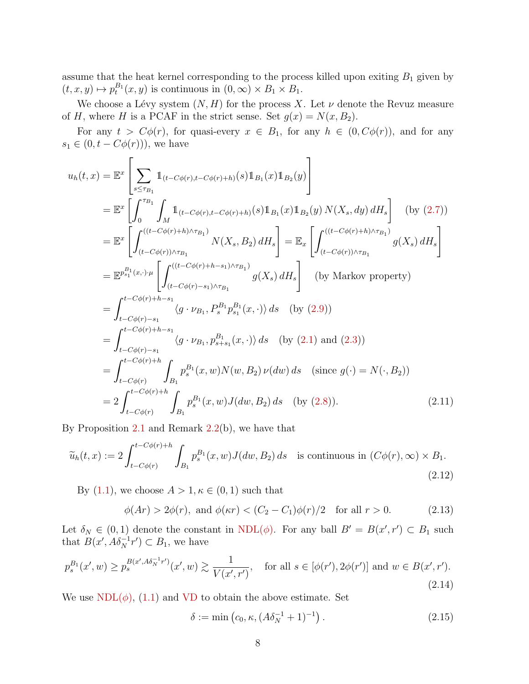assume that the heat kernel corresponding to the process killed upon exiting  $B_1$  given by  $(t, x, y) \mapsto p_t^{B_1}(x, y)$  is continuous in  $(0, \infty) \times B_1 \times B_1$ .

We choose a Lévy system  $(N, H)$  for the process X. Let  $\nu$  denote the Revuz measure of H, where H is a PCAF in the strict sense. Set  $g(x) = N(x, B_2)$ .

For any  $t > C\phi(r)$ , for quasi-every  $x \in B_1$ , for any  $h \in (0, C\phi(r))$ , and for any  $s_1 \in (0, t - C\phi(r))$ , we have

$$
u_{h}(t,x) = \mathbb{E}^{x} \left[ \sum_{s \leq \tau_{B_{1}}} 1_{(t-C\phi(r),t-C\phi(r)+h)}(s) 1_{B_{1}}(x) 1_{B_{2}}(y) \right]
$$
  
\n
$$
= \mathbb{E}^{x} \left[ \int_{0}^{\tau_{B_{1}}} \int_{M} 1_{(t-C\phi(r),t-C\phi(r)+h)}(s) 1_{B_{1}}(x) 1_{B_{2}}(y) N(X_{s},dy) dH_{s} \right] \text{ (by (2.7))}
$$
  
\n
$$
= \mathbb{E}^{x} \left[ \int_{(t-C\phi(r))+h \wedge \tau_{B_{1}}}^{(t-C\phi(r)+h) \wedge \tau_{B_{1}}} N(X_{s}, B_{2}) dH_{s} \right] = \mathbb{E}_{x} \left[ \int_{(t-C\phi(r))+h \wedge \tau_{B_{1}}}^{(t-C\phi(r)+h) \wedge \tau_{B_{1}}} g(X_{s}) dH_{s} \right]
$$
  
\n
$$
= \mathbb{E}^{p_{s_{1}}^{B_{1}}(x, \cdot) \cdot \mu} \left[ \int_{(t-C\phi(r)-s_{1}) \wedge \tau_{B_{1}}}^{(t-C\phi(r)+h-s_{1}) \wedge \tau_{B_{1}}} g(X_{s}) dH_{s} \right] \text{ (by Markov property)}
$$
  
\n
$$
= \int_{t-C\phi(r)-s_{1}}^{t-C\phi(r)+h-s_{1}} \langle g \cdot \nu_{B_{1}}, P_{s+1}^{B_{1}}(x, \cdot) \rangle ds \text{ (by (2.9))}
$$
  
\n
$$
= \int_{t-C\phi(r)-s_{1}}^{t-C\phi(r)+h} \int_{B_{1}} p_{s}^{B_{1}}(x, w) N(w, B_{2}) \nu(dw) ds \text{ (since } g(\cdot) = N(\cdot, B_{2}))
$$
  
\n
$$
= 2 \int_{t-C\phi(r)}^{t-C\phi(r)+h} \int_{B_{1}} p_{s}^{B_{1}}(x, w) J(dw, B_{2}) ds \text{ (by (2.8)).} (2.11)
$$

By Proposition [2.1](#page-4-2) and Remark  $2.2(b)$  $2.2(b)$ , we have that

<span id="page-7-1"></span>
$$
\widetilde{u}_h(t,x) := 2 \int_{t-C\phi(r)}^{t-C\phi(r)+h} \int_{B_1} p_s^{B_1}(x,w) J(dw, B_2) ds \text{ is continuous in } (C\phi(r), \infty) \times B_1.
$$
\n(2.12)

By  $(1.1)$ , we choose  $A > 1, \kappa \in (0,1)$  such that

$$
\phi(Ar) > 2\phi(r)
$$
, and  $\phi(\kappa r) < (C_2 - C_1)\phi(r)/2$  for all  $r > 0$ . (2.13)

Let  $\delta_N \in (0,1)$  denote the constant in NDL $(\phi)$ . For any ball  $B' = B(x', r') \subset B_1$  such that  $B(x', A\delta_N^{-1}r') \subset B_1$ , we have

<span id="page-7-2"></span>
$$
p_s^{B_1}(x', w) \ge p_s^{B(x', A\delta_N^{-1}r')}(x', w) \gtrsim \frac{1}{V(x', r')}, \quad \text{for all } s \in [\phi(r'), 2\phi(r')] \text{ and } w \in B(x', r').
$$
\n(2.14)

We use  $NDL(\phi)$  $NDL(\phi)$ , [\(1.1\)](#page-1-1) and [VD](#page-1-0) to obtain the above estimate. Set

<span id="page-7-0"></span>
$$
\delta := \min\left(c_0, \kappa, (A\delta_N^{-1} + 1)^{-1}\right). \tag{2.15}
$$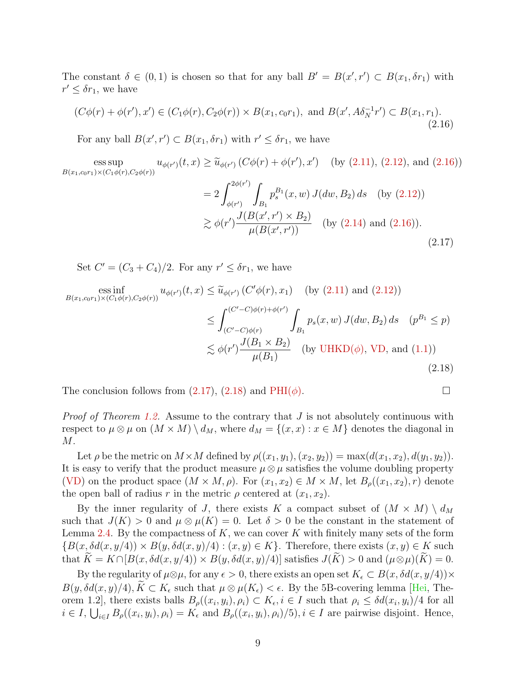The constant  $\delta \in (0,1)$  is chosen so that for any ball  $B' = B(x', r') \subset B(x_1, \delta r_1)$  with  $r' \leq \delta r_1$ , we have

<span id="page-8-0"></span>
$$
(C\phi(r) + \phi(r'), x') \in (C_1\phi(r), C_2\phi(r)) \times B(x_1, c_0r_1), \text{ and } B(x', A\delta_N^{-1}r') \subset B(x_1, r_1).
$$
\n(2.16)

For any ball  $B(x', r') \subset B(x_1, \delta r_1)$  with  $r' \leq \delta r_1$ , we have

ess sup  $B(x_1, c_0r_1) \times (C_1\phi(r), C_2\phi(r))$  $u_{\phi(r')}(t,x) \ge \tilde{u}_{\phi(r')}\left(C\phi(r) + \phi(r'), x'\right)$  (by [\(2.11\)](#page-7-0), [\(2.12\)](#page-7-1), and [\(2.16\)](#page-8-0))

<span id="page-8-2"></span><span id="page-8-1"></span>
$$
=2\int_{\phi(r')}^{2\phi(r')} \int_{B_1} p_s^{B_1}(x, w) J(dw, B_2) ds \text{ (by (2.12))}
$$
  
 
$$
\gtrsim \phi(r') \frac{J(B(x', r') \times B_2)}{\mu(B(x', r'))} \text{ (by (2.14) and (2.16))}.
$$
 (2.17)

Set  $C' = (C_3 + C_4)/2$ . For any  $r' \leq \delta r_1$ , we have

$$
\begin{aligned}\n\text{ess}\inf_{B(x_1, c_0 r_1) \times (C_1 \phi(r), C_2 \phi(r))} u_{\phi(r')}(t, x) &\leq \widetilde{u}_{\phi(r')}(C' \phi(r), x_1) \quad \text{(by (2.11) and (2.12))} \\
&\leq \int_{(C'-C)\phi(r)}^{(C'-C)\phi(r) + \phi(r')} \int_{B_1} p_s(x, w) J(dw, B_2) \, ds \quad (p^{B_1} \leq p) \\
&\leq \phi(r') \frac{J(B_1 \times B_2)}{\mu(B_1)} \quad \text{(by UHKD}(\phi), \text{VD, and (1.1))} \\
&\tag{2.18}\n\end{aligned}
$$

The conclusion follows from [\(2.17\)](#page-8-1), [\(2.18\)](#page-8-2) and  $PHI(\phi)$  $PHI(\phi)$ .

*Proof of Theorem [1.2.](#page-2-1)* Assume to the contrary that  $J$  is not absolutely continuous with respect to  $\mu \otimes \mu$  on  $(M \times M) \setminus d_M$ , where  $d_M = \{(x, x) : x \in M\}$  denotes the diagonal in M.

Let  $\rho$  be the metric on  $M \times M$  defined by  $\rho((x_1, y_1), (x_2, y_2)) = \max(d(x_1, x_2), d(y_1, y_2)).$ It is easy to verify that the product measure  $\mu \otimes \mu$  satisfies the volume doubling property [\(VD\)](#page-1-0) on the product space  $(M \times M, \rho)$ . For  $(x_1, x_2) \in M \times M$ , let  $B_\rho((x_1, x_2), r)$  denote the open ball of radius r in the metric  $\rho$  centered at  $(x_1, x_2)$ .

By the inner regularity of J, there exists K a compact subset of  $(M \times M) \setminus d_M$ such that  $J(K) > 0$  and  $\mu \otimes \mu(K) = 0$ . Let  $\delta > 0$  be the constant in the statement of Lemma [2.4.](#page-6-4) By the compactness of  $K$ , we can cover  $K$  with finitely many sets of the form  ${B(x, \delta d(x, y/4)) \times B(y, \delta d(x, y)/4) : (x, y) \in K}.$  Therefore, there exists  $(x, y) \in K$  such that  $K = K \cap [B(x, \delta d(x, y/4)) \times B(y, \delta d(x, y)/4)]$  satisfies  $J(K) > 0$  and  $(\mu \otimes \mu)(K) = 0$ .

By the regularity of  $\mu \otimes \mu$ , for any  $\epsilon > 0$ , there exists an open set  $K_{\epsilon} \subset B(x, \delta d(x, y/4)) \times$  $B(y, \delta d(x, y)/4), \tilde{K} \subset K_{\epsilon}$  such that  $\mu \otimes \mu(K_{\epsilon}) < \epsilon$ . By the 5B-covering lemma [\[Hei,](#page-10-12) Theorem 1.2, there exists balls  $B_{\rho}((x_i, y_i), \rho_i) \subset K_{\epsilon}, i \in I$  such that  $\rho_i \leq \delta d(x_i, y_i)/4$  for all  $i \in I, \bigcup_{i \in I} B_{\rho}((x_i, y_i), \rho_i) = K_{\epsilon}$  and  $B_{\rho}((x_i, y_i), \rho_i)/5$ ,  $i \in I$  are pairwise disjoint. Hence,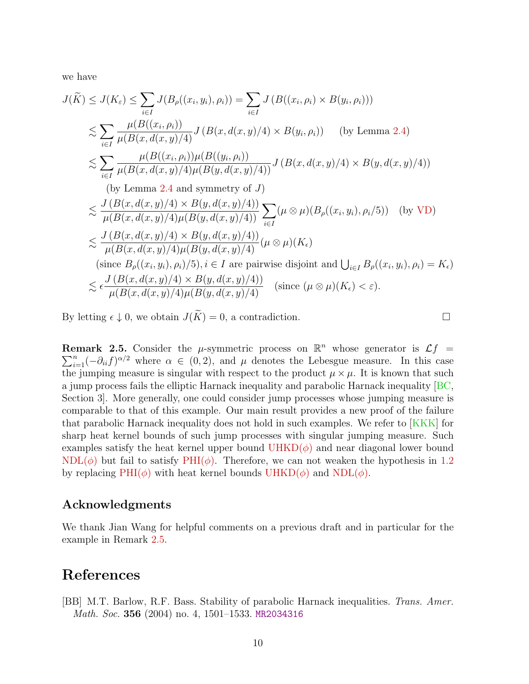we have

$$
J(\widetilde{K}) \leq J(K_{\varepsilon}) \leq \sum_{i \in I} J(B_{\rho}((x_i, y_i), \rho_i)) = \sum_{i \in I} J(B((x_i, \rho_i) \times B(y_i, \rho_i)))
$$
  
\n
$$
\lesssim \sum_{i \in I} \frac{\mu(B((x_i, \rho_i))}{\mu(B(x, d(x, y)/4)} J(B(x, d(x, y)/4) \times B(y_i, \rho_i)) \qquad \text{(by Lemma 2.4)}
$$
  
\n
$$
\lesssim \sum_{i \in I} \frac{\mu(B((x_i, \rho_i)) \mu(B((y_i, \rho_i)))}{\mu(B(x, d(x, y)/4) \mu(B(y, d(x, y)/4))} J(B(x, d(x, y)/4) \times B(y, d(x, y)/4))
$$
  
\n
$$
\leq J(\frac{B(x, d(x, y)/4) \times B(y, d(x, y)/4)}{\mu(B(x, d(x, y)/4) \mu(B(y, d(x, y)/4))} \sum_{i \in I} (\mu \otimes \mu)(B_{\rho}((x_i, y_i), \rho_i/5)) \qquad \text{(by VD)}
$$
  
\n
$$
\lesssim \frac{J(B(x, d(x, y)/4) \times B(y, d(x, y)/4))}{\mu(B(x, d(x, y)/4) \mu(B(y, d(x, y)/4))} (\mu \otimes \mu)(K_{\varepsilon})
$$
  
\n
$$
\text{(since } B_{\rho}((x_i, y_i), \rho_i)/5), i \in I \text{ are pairwise disjoint and } \bigcup_{i \in I} B_{\rho}((x_i, y_i), \rho_i) = K_{\varepsilon})
$$
  
\n
$$
\lesssim \epsilon \frac{J(B(x, d(x, y)/4) \times B(y, d(x, y)/4))}{\mu(B(x, d(x, y)/4) \mu(B(y, d(x, y)/4))} \qquad \text{(since } (\mu \otimes \mu)(K_{\varepsilon}) < \varepsilon).
$$

By letting  $\epsilon \downarrow 0$ , we obtain  $J(\widetilde{K}) = 0$ , a contradiction.

<span id="page-9-1"></span>**Remark 2.5.** Consider the 
$$
\mu
$$
-symmetric process on  $\mathbb{R}^n$  whose generator is  $\mathcal{L}f = \sum_{i=1}^n (-\partial_{ii}f)^{\alpha/2}$  where  $\alpha \in (0,2)$ , and  $\mu$  denotes the Lebesgue measure. In this case the jumping measure is singular with respect to the product  $\mu \times \mu$ . It is known that such a jump process fails the elliptic Harnack inequality and parabolic Harnack inequality [BC, Section 3]. More generally, one could consider jump processes whose jumping measure is comparable to that of this example. Our main result provides a new proof of the failure that parabolic Harnack inequality does not hold in such examples. We refer to [KKK] for sharp heat kernel bounds of such jump processes with singular jumping measure. Such examples satisfy the heat kernel upper bound UHKD( $\phi$ ) and near diagonal lower bound NDL( $\phi$ ) but fail to satisfy PHI( $\phi$ ). Therefore, we can not weaken the hypothesis in 1.2 by replacing PHI( $\phi$ ) with heat kernel bounds UHKD( $\phi$ ) and NDL( $\phi$ ).

### Acknowledgments

We thank Jian Wang for helpful comments on a previous draft and in particular for the example in Remark [2.5.](#page-9-1)

# References

<span id="page-9-0"></span>[BB] M.T. Barlow, R.F. Bass. Stability of parabolic Harnack inequalities. Trans. Amer. Math. Soc. 356 (2004) no. 4, 1501-1533. [MR2034316](http://www.ams.org/mathscinet-getitem?mr=2034316)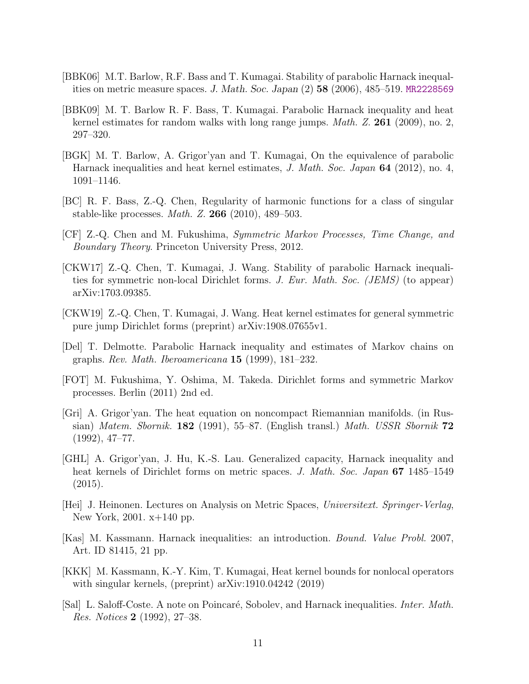- <span id="page-10-4"></span>[BBK06] M.T. Barlow, R.F. Bass and T. Kumagai. Stability of parabolic Harnack inequalities on metric measure spaces. J. Math. Soc. Japan (2) 58 (2006), 485–519. [MR2228569](http://www.ams.org/mathscinet-getitem?mr=2228569)
- <span id="page-10-8"></span>[BBK09] M. T. Barlow R. F. Bass, T. Kumagai. Parabolic Harnack inequality and heat kernel estimates for random walks with long range jumps. Math. Z. 261 (2009), no. 2, 297–320.
- <span id="page-10-11"></span>[BGK] M. T. Barlow, A. Grigor'yan and T. Kumagai, On the equivalence of parabolic Harnack inequalities and heat kernel estimates, J. Math. Soc. Japan 64 (2012), no. 4, 1091–1146.
- <span id="page-10-13"></span>[BC] R. F. Bass, Z.-Q. Chen, Regularity of harmonic functions for a class of singular stable-like processes. Math. Z. 266 (2010), 489–503.
- <span id="page-10-10"></span>[CF] Z.-Q. Chen and M. Fukushima, Symmetric Markov Processes, Time Change, and Boundary Theory. Princeton University Press, 2012.
- <span id="page-10-6"></span>[CKW17] Z.-Q. Chen, T. Kumagai, J. Wang. Stability of parabolic Harnack inequalities for symmetric non-local Dirichlet forms. J. Eur. Math. Soc. (JEMS) (to appear) arXiv:1703.09385.
- <span id="page-10-9"></span>[CKW19] Z.-Q. Chen, T. Kumagai, J. Wang. Heat kernel estimates for general symmetric pure jump Dirichlet forms (preprint) arXiv:1908.07655v1.
- <span id="page-10-3"></span>[Del] T. Delmotte. Parabolic Harnack inequality and estimates of Markov chains on graphs. Rev. Math. Iberoamericana 15 (1999), 181–232.
- <span id="page-10-7"></span>[FOT] M. Fukushima, Y. Oshima, M. Takeda. Dirichlet forms and symmetric Markov processes. Berlin (2011) 2nd ed.
- <span id="page-10-1"></span>[Gri] A. Grigor'yan. The heat equation on noncompact Riemannian manifolds. (in Russian) Matem. Sbornik. 182 (1991), 55–87. (English transl.) Math. USSR Sbornik  $72$ (1992), 47–77.
- <span id="page-10-5"></span>[GHL] A. Grigor'yan, J. Hu, K.-S. Lau. Generalized capacity, Harnack inequality and heat kernels of Dirichlet forms on metric spaces. J. Math. Soc. Japan 67 1485–1549  $(2015).$
- <span id="page-10-12"></span>[Hei] J. Heinonen. Lectures on Analysis on Metric Spaces, Universitext. Springer-Verlag, New York, 2001. x+140 pp.
- <span id="page-10-0"></span>[Kas] M. Kassmann. Harnack inequalities: an introduction. Bound. Value Probl. 2007, Art. ID 81415, 21 pp.
- <span id="page-10-14"></span>[KKK] M. Kassmann, K.-Y. Kim, T. Kumagai, Heat kernel bounds for nonlocal operators with singular kernels, (preprint) arXiv:1910.04242 (2019)
- <span id="page-10-2"></span>[Sal] L. Saloff-Coste. A note on Poincaré, Sobolev, and Harnack inequalities. *Inter. Math.* Res. Notices 2 (1992), 27–38.